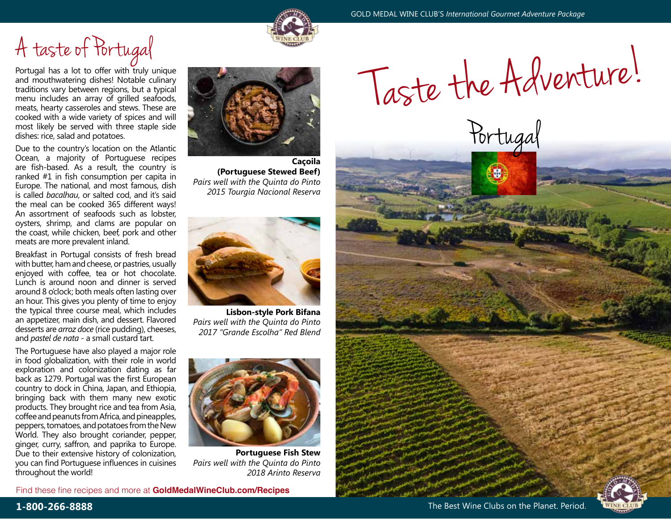# A taste of Portugal

Portugal has a lot to offer with truly unique and mouthwatering dishes! Notable culinary traditions vary between regions, but a typical menu includes an array of grilled seafoods, meats, hearty casseroles and stews. These are cooked with a wide variety of spices and will most likely be served with three staple side dishes: rice, salad and potatoes.

Due to the country's location on the Atlantic Ocean, a majority of Portuguese recipes are fish-based. As a result, the country is ranked #1 in fish consumption per capita in Europe. The national, and most famous, dish is called *bacalhau*, or salted cod, and it's said the meal can be cooked 365 different ways! An assortment of seafoods such as lobster, oysters, shrimp, and clams are popular on the coast, while chicken, beef, pork and other meats are more prevalent inland.

Breakfast in Portugal consists of fresh bread with butter, ham and cheese, or pastries, usually enjoyed with coffee, tea or hot chocolate. Lunch is around noon and dinner is served around 8 o'clock; both meals often lasting over an hour. This gives you plenty of time to enjoy the typical three course meal, which includes an appetizer, main dish, and dessert. Flavored desserts are *arroz doce* (rice pudding), cheeses, and *pastel de nata* - a small custard tart.

The Portuguese have also played a major role in food globalization, with their role in world exploration and colonization dating as far back as 1279. Portugal was the first European country to dock in China, Japan, and Ethiopia, bringing back with them many new exotic products. They brought rice and tea from Asia, coffee and peanuts from Africa, and pineapples, peppers, tomatoes, and potatoes from the New World. They also brought coriander, pepper, ginger, curry, saffron, and paprika to Europe. Due to their extensive history of colonization, you can find Portuguese influences in cuisines throughout the world!



**Caçoila (Portuguese Stewed Beef)** *Pairs well with the Quinta do Pinto 2015 Tourgia Nacional Reserva*



**Lisbon-style Pork Bifana**  *Pairs well with the Quinta do Pinto 2017 "Grande Escolha" Red Blend*



**Portuguese Fish Stew** *Pairs well with the Quinta do Pinto 2018 Arinto Reserva*

Find these fine recipes and more at **GoldMedalWineClub.com/Recipes**

GOLD MEDAL WINE CLUB'S *International Gourmet Adventure Package*